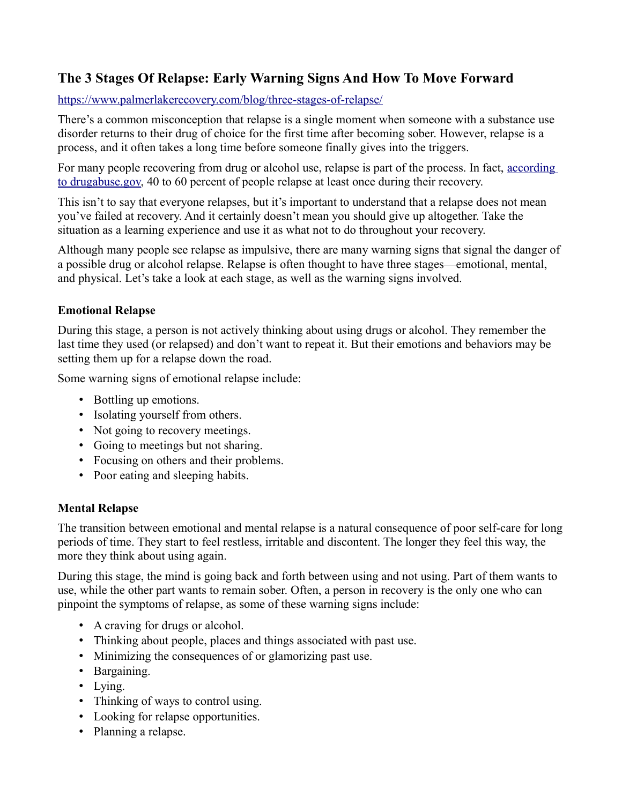## **The 3 Stages Of Relapse: Early Warning Signs And How To Move Forward**

#### <https://www.palmerlakerecovery.com/blog/three-stages-of-relapse/>

There's a common misconception that relapse is a single moment when someone with a substance use disorder returns to their drug of choice for the first time after becoming sober. However, relapse is a process, and it often takes a long time before someone finally gives into the triggers.

For many people recovering from drug or alcohol use, relapse is part of the process. In fact, [according](https://www.drugabuse.gov/publications/principles-drug-addiction-treatment-research-based-guide-third-edition/frequently-asked-questions/how-effective-drug-addiction-treatment)  [to drugabuse.gov,](https://www.drugabuse.gov/publications/principles-drug-addiction-treatment-research-based-guide-third-edition/frequently-asked-questions/how-effective-drug-addiction-treatment) 40 to 60 percent of people relapse at least once during their recovery.

This isn't to say that everyone relapses, but it's important to understand that a relapse does not mean you've failed at recovery. And it certainly doesn't mean you should give up altogether. Take the situation as a learning experience and use it as what not to do throughout your recovery.

Although many people see relapse as impulsive, there are many warning signs that signal the danger of a possible drug or alcohol relapse. Relapse is often thought to have three stages—emotional, mental, and physical. Let's take a look at each stage, as well as the warning signs involved.

### **Emotional Relapse**

During this stage, a person is not actively thinking about using drugs or alcohol. They remember the last time they used (or relapsed) and don't want to repeat it. But their emotions and behaviors may be setting them up for a relapse down the road.

Some warning signs of emotional relapse include:

- Bottling up emotions.
- Isolating yourself from others.
- Not going to recovery meetings.
- Going to meetings but not sharing.
- Focusing on others and their problems.
- Poor eating and sleeping habits.

#### **Mental Relapse**

The transition between emotional and mental relapse is a natural consequence of poor self-care for long periods of time. They start to feel restless, irritable and discontent. The longer they feel this way, the more they think about using again.

During this stage, the mind is going back and forth between using and not using. Part of them wants to use, while the other part wants to remain sober. Often, a person in recovery is the only one who can pinpoint the symptoms of relapse, as some of these warning signs include:

- A craving for drugs or alcohol.
- Thinking about people, places and things associated with past use.
- Minimizing the consequences of or glamorizing past use.
- Bargaining.
- Lying.
- Thinking of ways to control using.
- Looking for relapse opportunities.
- Planning a relapse.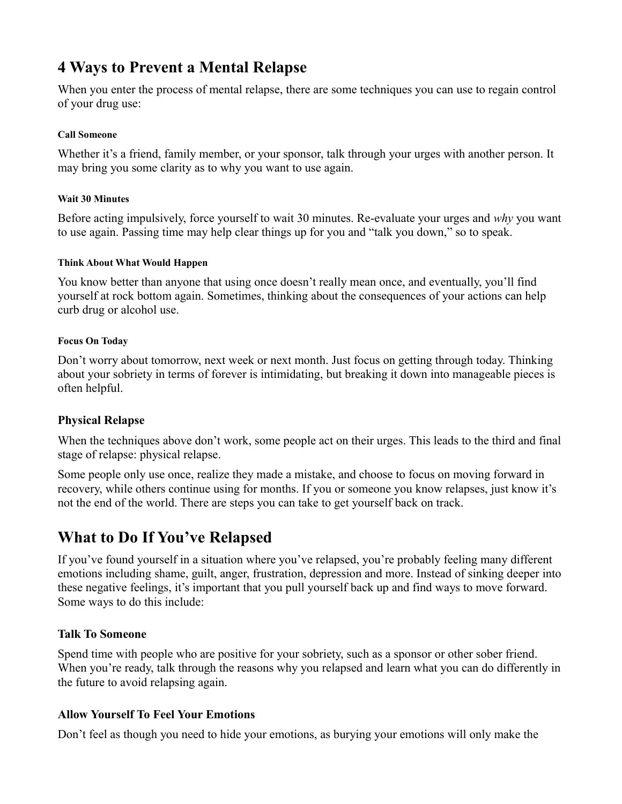# **4 Ways to Prevent a Mental Relapse**

When you enter the process of mental relapse, there are some techniques you can use to regain control of your drug use:

#### **Call Someone**

Whether it's a friend, family member, or your sponsor, talk through your urges with another person. It may bring you some clarity as to why you want to use again.

#### **Wait 30 Minutes**

Before acting impulsively, force yourself to wait 30 minutes. Re-evaluate your urges and *why* you want to use again. Passing time may help clear things up for you and "talk you down," so to speak.

#### **Think About What Would Happen**

You know better than anyone that using once doesn't really mean once, and eventually, you'll find yourself at rock bottom again. Sometimes, thinking about the consequences of your actions can help curb drug or alcohol use.

#### **Focus On Today**

Don't worry about tomorrow, next week or next month. Just focus on getting through today. Thinking about your sobriety in terms of forever is intimidating, but breaking it down into manageable pieces is often helpful.

#### **Physical Relapse**

When the techniques above don't work, some people act on their urges. This leads to the third and final stage of relapse: physical relapse.

Some people only use once, realize they made a mistake, and choose to focus on moving forward in recovery, while others continue using for months. If you or someone you know relapses, just know it's not the end of the world. There are steps you can take to get yourself back on track.

## **What to Do If You've Relapsed**

If you've found yourself in a situation where you've relapsed, you're probably feeling many different emotions including shame, guilt, anger, frustration, depression and more. Instead of sinking deeper into these negative feelings, it's important that you pull yourself back up and find ways to move forward. Some ways to do this include:

#### **Talk To Someone**

Spend time with people who are positive for your sobriety, such as a sponsor or other sober friend. When you're ready, talk through the reasons why you relapsed and learn what you can do differently in the future to avoid relapsing again.

#### **Allow Yourself To Feel Your Emotions**

Don't feel as though you need to hide your emotions, as burying your emotions will only make the